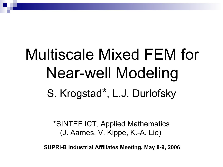# Multiscale Mixed FEM for Near-well Modeling S. Krogstad\*, L.J. Durlofsky

\*SINTEF ICT, Applied Mathematics (J. Aarnes, V. Kippe, K.-A. Lie)

**SUPRI-B Industrial Affiliates Meeting, May 8-9, 2006**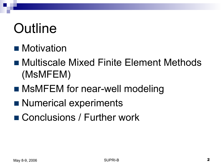## **Outline**

#### **Notivation**

- Multiscale Mixed Finite Element Methods (MsMFEM)
- MsMFEM for near-well modeling
- Numerical experiments
- Conclusions / Further work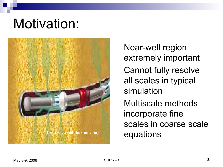## Motivation:



Near-well region extremely important Cannot fully resolve all scales in typical simulation Multiscale methods incorporate fine scales in coarse scale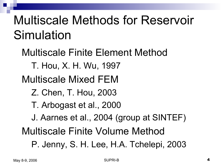## Multiscale Methods for Reservoir Simulation

Multiscale Finite Element Method T. Hou, X. H. Wu, 1997 Multiscale Mixed FEM Z. Chen, T. Hou, 2003 T. Arbogast et al., 2000 J. Aarnes et al., 2004 (group at SINTEF) Multiscale Finite Volume Method P. Jenny, S. H. Lee, H.A. Tchelepi, 2003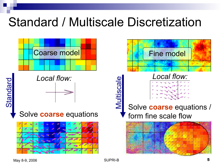## Standard / Multiscale Discretization

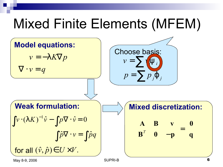## Mixed Finite Elements (MFEM)

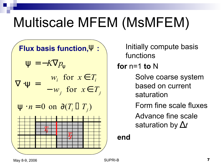## Multiscale MFEM (MsMFEM)

Flux basis function,
$$
\Psi
$$
:  
\n
$$
\Psi = -K\nabla p_{\Psi}
$$
\n
$$
\nabla \cdot \Psi = \begin{cases}\nw_i \text{ for } x \in T_i \\
-w_j \text{ for } x \in T_j\n\end{cases}
$$
\n
$$
\Psi \cdot n = 0 \text{ on } \partial (T_i \Box T_j)
$$

Initially compute basis functions

**for** n=1 **to** N

Solve coarse system based on current saturation

Form fine scale fluxes

Advance fine scale saturation by  $\Delta t$ 

**end**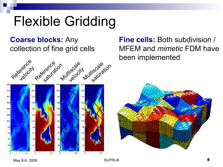## Flexible Gridding

#### **Coarse blocks:** Any collection of fine grid cells



**Fine cells:** Both subdivision / MFEM and *mimetic* FDM have been implemented

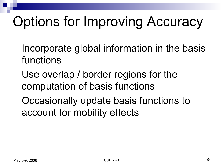# Options for Improving Accuracy

- Incorporate global information in the basis functions
- Use overlap / border regions for the computation of basis functions
- Occasionally update basis functions to account for mobility effects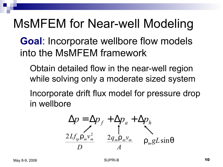### MsMFEM for Near-well Modeling

#### **Goal**: Incorporate wellbore flow models into the MsMFEM framework

- Obtain detailed flow in the near-well region while solving only a moderate sized system
- Incorporate drift flux model for pressure drop in wellbore

$$
\Delta p = \Delta p_f + \Delta p_a + \Delta p_h
$$
  

$$
\frac{2Lf_{tp}\rho_m v_m^2}{D} = \frac{2q_m\rho_m v_m}{A} = \rho_m gL\sin\theta
$$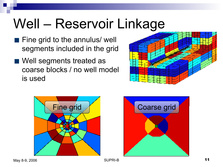## Well – Reservoir Linkage

- **Fine grid to the annulus/ well** segments included in the grid
- Well segments treated as coarse blocks / no well model is used





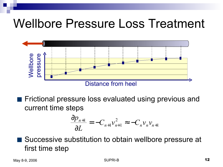### Wellbore Pressure Loss Treatment



**Fictional pressure loss evaluated using previous and** current time steps

$$
\frac{\partial p_{n+1}}{\partial L} = -C_{n+1}v_{n+1}^2 \approx -C_n v_n v_{n+1}
$$

Successive substitution to obtain wellbore pressure at first time step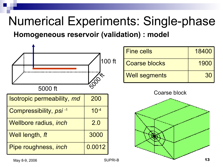## Numerical Experiments: Single-phase

**Homogeneous reservoir (validation) : model** 



 $\blacksquare$  May 8-9, 2006  $\blacksquare$  13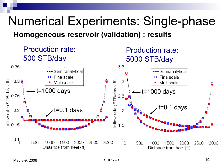### Numerical Experiments: Single-phase **Homogeneous reservoir (validation) : results**

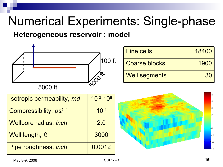### Numerical Experiments: Single-phase

#### **Heterogeneous reservoir : model**



| <b>Isotropic permeability, md</b>  | $10^{-3} - 10^{5}$ |
|------------------------------------|--------------------|
| Compressibility, psi <sup>-1</sup> | $10^{-4}$          |
| <b>Wellbore radius, inch</b>       | 2.0                |
| Well length, ft                    | 3000               |
| Pipe roughness, inch               | 0.0012             |

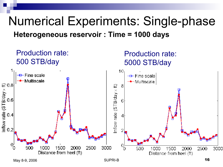### Numerical Experiments: Single-phase **Heterogeneous reservoir : Time = 1000 days**



May 8-9, 2006  $\blacksquare$  16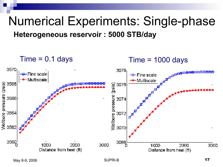#### Numerical Experiments: Single-phase **Heterogeneous reservoir : 5000 STB/day**

 $Time = 0.1 days$  Time = 1000 days

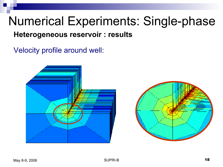#### Numerical Experiments: Single-phase **Heterogeneous reservoir : results**

Velocity profile around well: